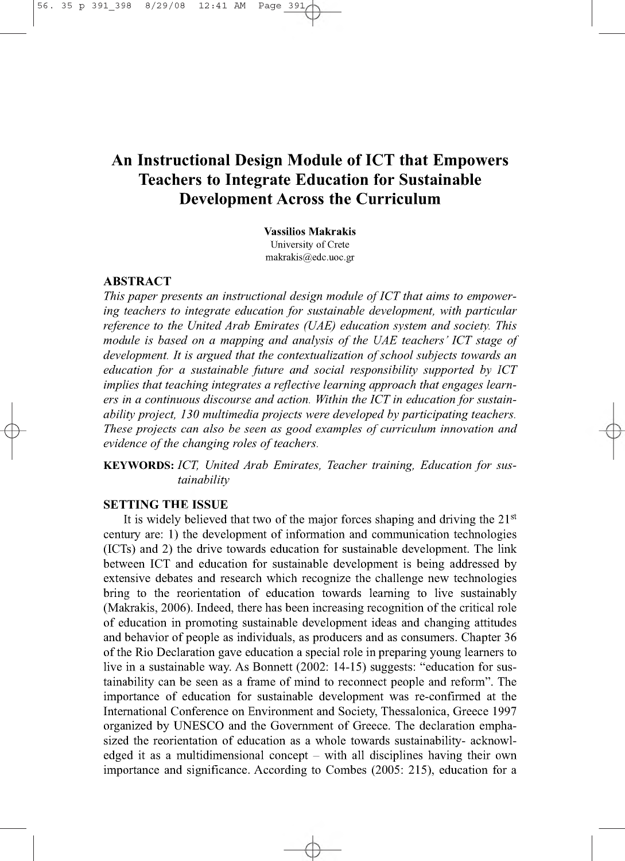# **An Instructional Design Module of ICT that Empowers Teachers to Integrate Education for Sustainable Development Across the Curriculum**

**Vassilios Makrakis** University of Crete [makrakis@edc.uoc.gr](mailto:makrakis@edc.uoc.gr)

# **ABSTRACT**

 $\phi$ 

This paper presents an instructional design module of ICT that aims to empower*ing teachers to integrate education for sustainable development, with particular reference to the United Arab Emirates (UAE) education system and society. This module is based on a mapping and analysis of the UAE teachers' ICT stage of* development. It is argued that the contextualization of school subjects towards an *education for a sustainable future and social responsibility supported by ICT implies that teaching integrates a reflective learning approach that engages learn*ers in a continuous discourse and action. Within the ICT in education for sustain*ability project, 130 multimedia projects were developed by participating teachers. These projects can also be seen as good examples of curriculum innovation and evidence of the changing roles of teachers.* 

KEYWORDS: *ICT*, United Arab Emirates, Teacher training, Education for sus*tainability*

# **SETTING THE ISSUE**

It is widely believed that two of the major forces shaping and driving the  $21<sup>st</sup>$ century are: 1) the development of information and communication technologies (ICTs) and 2) the drive towards education for sustainable development. The link between ICT and education for sustainable development is being addressed by extensive debates and research which recognize the challenge new technologies bring to the reorientation of education towards learning to live sustainably (Makrakis, 2006). Indeed, there has been increasing recognition of the critical role of education in promoting sustainable development ideas and changing attitudes and behavior of people as individuals, as producers and as consumers. Chapter 36 of the Rio Declaration gave education a special role in preparing young learners to live in a sustainable way. As Bonnett (2002: 14-15) suggests: "education for sustainability can be seen as a frame of mind to reconnect people and reform". The importance of education for sustainable development was re-confirmed at the International Conference on Environment and Society, Thessalonica, Greece 1997 organized by UNESCO and the Government of Greece. The declaration emphasized the reorientation of education as a whole towards sustainability- acknowledged it as a multidimensional concept  $-$  with all disciplines having their own importance and significance. According to Combes (2005: 215), education for a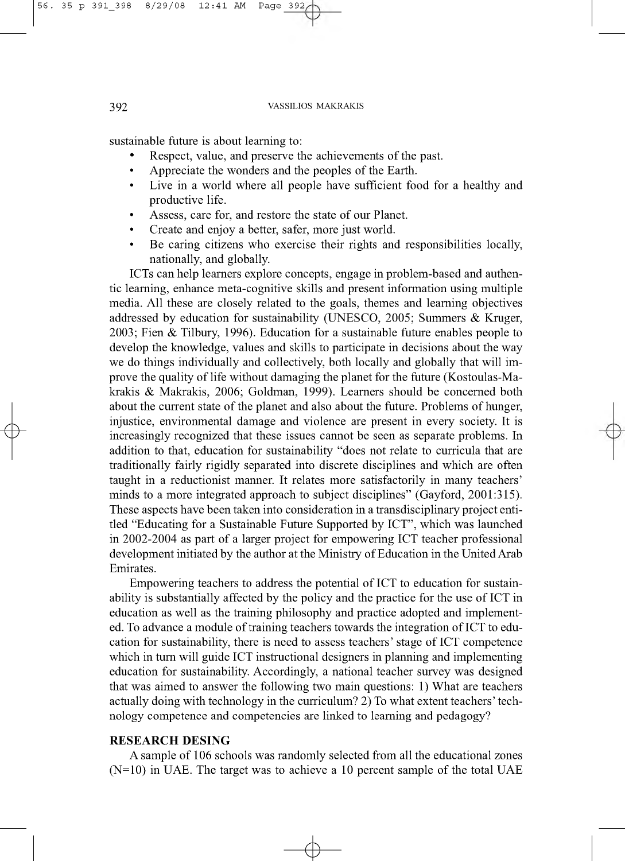sustainable future is about learning to:

- Respect, value, and preserve the achievements of the past.
- Appreciate the wonders and the peoples of the Earth.
- Live in a world where all people have sufficient food for a healthy and productive life.
- Assess, care for, and restore the state of our Planet.
- Create and enjoy a better, safer, more just world.
- Be caring citizens who exercise their rights and responsibilities locally, nationally, and globally.

ICTs can help learners explore concepts, engage in problem-based and authentic learning, enhance meta-cognitive skills and present information using multiple media. All these are closely related to the goals, themes and learning objectives addressed by education for sustainability (UNESCO, 2005; Summers & Kruger, 2003; Fien & Tilbury, 1996). Education for a sustainable future enables people to develop the knowledge, values and skills to participate in decisions about the way we do things individually and collectively, both locally and globally that will improve the quality of life without damaging the planet for the future (Kostoulas-Makrakis & Makrakis, 2006; Goldman, 1999). Learners should be concerned both about the current state of the planet and also about the future. Problems of hunger, injustice, environmental damage and violence are present in every society. It is increasingly recognized that these issues cannot be seen as separate problems. In addition to that, education for sustainability "does not relate to curricula that are traditionally fairly rigidly separated into discrete disciplines and which are often taught in a reductionist manner. It relates more satisfactorily in many teachers' minds to a more integrated approach to subject disciplines" (Gayford, 2001:315). These aspects have been taken into consideration in a transdisciplinary project entitled "Educating for a Sustainable Future Supported by ICT", which was launched in 2002-2004 as part of a larger project for empowering ICT teacher professional development initiated by the author at the Ministry of Education in the United Arab Emirates.

Empowering teachers to address the potential of ICT to education for sustainability is substantially affected by the policy and the practice for the use of ICT in education as well as the training philosophy and practice adopted and implemented. To advance a module of training teachers towards the integration of ICT to education for sustainability, there is need to assess teachers' stage of ICT competence which in turn will guide ICT instructional designers in planning and implementing education for sustainability. Accordingly, a national teacher survey was designed that was aimed to answer the following two main questions: 1) What are teachers actually doing with technology in the curriculum? 2) To what extent teachers' technology competence and competencies are linked to learning and pedagogy?

#### **RESEARCH DESING**

A sample of 106 schools was randomly selected from all the educational zones  $(N=10)$  in UAE. The target was to achieve a 10 percent sample of the total UAE

 $\downarrow$ 

**e**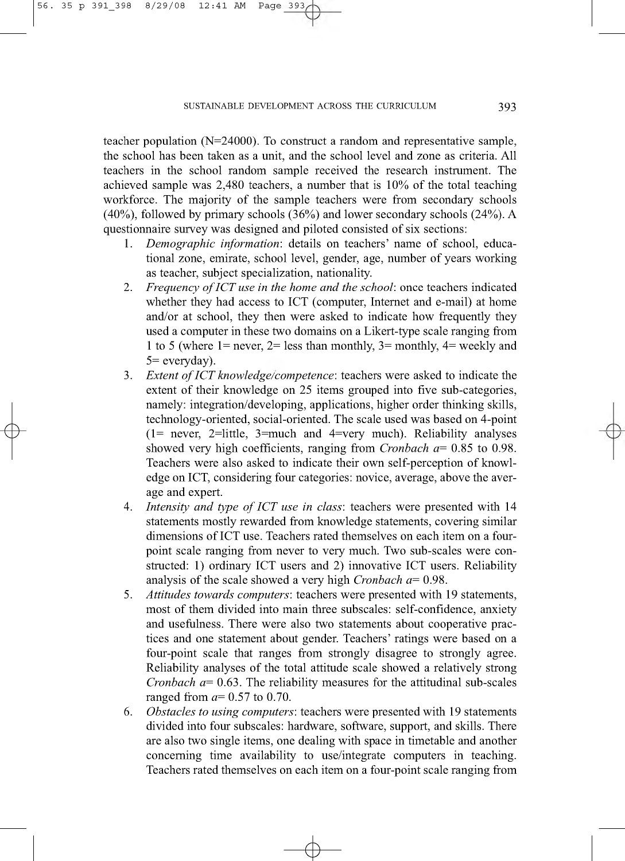56 .

35 p 391 398 8/29/08 12:41 AM Page 393

 $\phi$ 

teacher population (N=24000). To construct a random and representative sample, the school has been taken as a unit, and the school level and zone as criteria. All teachers in the school random sample received the research instrument. The achieved sample was 2,480 teachers, a number that is 10% of the total teaching workforce. The majority of the sample teachers were from secondary schools (40%), followed by primary schools (36%) and lower secondary schools (24%). A questionnaire survey was designed and piloted consisted of six sections:

- 1. *Demographic information:* details on teachers' name of school, educational zone, emirate, school level, gender, age, number of years working as teacher, subject specialization, nationality.
- 2. *Frequency of ICT use in the home and the school:* once teachers indicated whether they had access to ICT (computer, Internet and e-mail) at home and/or at school, they then were asked to indicate how frequently they used a computer in these two domains on a Likert-type scale ranging from 1 to 5 (where 1= never, 2= less than monthly, 3= monthly, 4= weekly and 5= everyday).
- 3. *Extent of ICT knowledge/competence*: teachers were asked to indicate the extent of their knowledge on 25 items grouped into five sub-categories, namely: integration/developing, applications, higher order thinking skills, technology-oriented, social-oriented. The scale used was based on 4-point (1= never, 2=little, 3=much and 4=very much). Reliability analyses showed very high coefficients, ranging from *Cronbach a=* 0.85 to 0.98. Teachers were also asked to indicate their own self-perception of knowledge on ICT, considering four categories: novice, average, above the average and expert.
- 4. *Intensity and type of ICT use in class:* teachers were presented with 14 statements mostly rewarded from knowledge statements, covering similar dimensions of ICT use. Teachers rated themselves on each item on a fourpoint scale ranging from never to very much. Two sub-scales were constructed: 1) ordinary ICT users and 2) innovative ICT users. Reliability analysis of the scale showed a very high *Cronbach a=* 0.98.
- 5. *Attitudes towards computers*: teachers were presented with 19 statements, most of them divided into main three subscales: self-confidence, anxiety and usefulness. There were also two statements about cooperative practices and one statement about gender. Teachers' ratings were based on a four-point scale that ranges from strongly disagree to strongly agree. Reliability analyses of the total attitude scale showed a relatively strong *Cronbach a*= 0.63. The reliability measures for the attitudinal sub-scales ranged from *a=* 0.57 to 0.70.
- 6. *Obstacles to using computers:* teachers were presented with 19 statements divided into four subscales: hardware, software, support, and skills. There are also two single items, one dealing with space in timetable and another concerning time availability to use/integrate computers in teaching. Teachers rated themselves on each item on a four-point scale ranging from

 $\downarrow$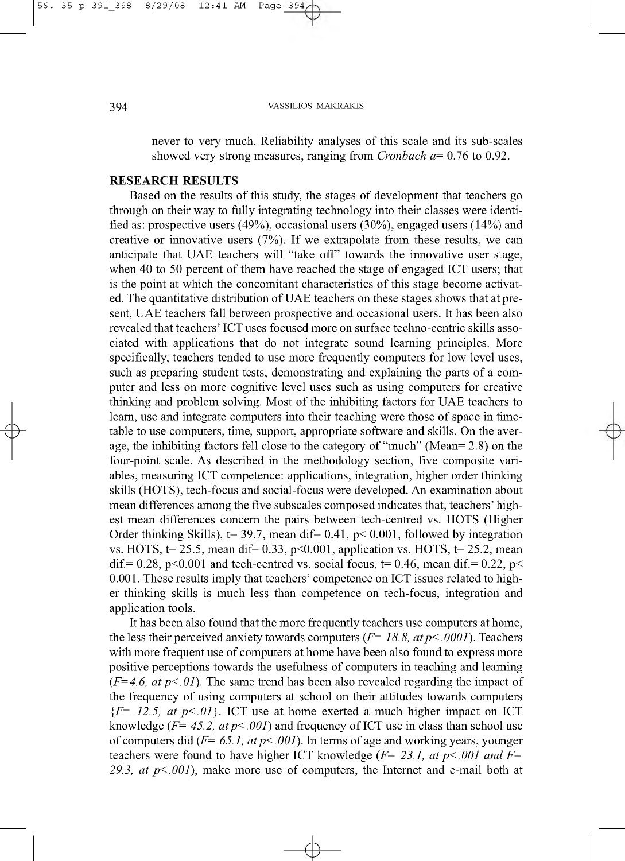never to very much. Reliability analyses of this scale and its sub-scales showed very strong measures, ranging from *Cronbach a=* 0.76 to 0.92.

### **RESEARCH RESULTS**

Based on the results of this study, the stages of development that teachers go through on their way to fully integrating technology into their classes were identified as: prospective users (49%), occasional users (30%), engaged users (14%) and creative or innovative users (7%). If we extrapolate from these results, we can anticipate that UAE teachers will "take off" towards the innovative user stage, when 40 to 50 percent of them have reached the stage of engaged ICT users; that is the point at which the concomitant characteristics of this stage become activated. The quantitative distribution of UAE teachers on these stages shows that at present, UAE teachers fall between prospective and occasional users. It has been also revealed that teachers' ICT uses focused more on surface techno-centric skills associated with applications that do not integrate sound learning principles. More specifically, teachers tended to use more frequently computers for low level uses, such as preparing student tests, demonstrating and explaining the parts of a computer and less on more cognitive level uses such as using computers for creative thinking and problem solving. Most of the inhibiting factors for UAE teachers to learn, use and integrate computers into their teaching were those of space in timetable to use computers, time, support, appropriate software and skills. On the average, the inhibiting factors fell close to the category of "much" (Mean= 2.8) on the four-point scale. As described in the methodology section, five composite variables, measuring ICT competence: applications, integration, higher order thinking skills (HOTS), tech-focus and social-focus were developed. An examination about mean differences among the five subscales composed indicates that, teachers' highest mean differences concern the pairs between tech-centred vs. HOTS (Higher Order thinking Skills),  $t= 39.7$ , mean dif= 0.41,  $p< 0.001$ , followed by integration vs. HOTS,  $t= 25.5$ , mean dif= 0.33, p<0.001, application vs. HOTS,  $t= 25.2$ , mean dif.= 0.28, p<0.001 and tech-centred vs. social focus, t= 0.46, mean dif.= 0.22, p< 0.001. These results imply that teachers' competence on ICT issues related to higher thinking skills is much less than competence on tech-focus, integration and application tools.

It has been also found that the more frequently teachers use computers at home, the less their perceived anxiety towards computers *(F= 18.8, at p<.0001).* Teachers with more frequent use of computers at home have been also found to express more positive perceptions towards the usefulness of computers in teaching and learning  $(F=4.6, at p\leq 0)$ . The same trend has been also revealed regarding the impact of the frequency of using computers at school on their attitudes towards computers  ${F} = 12.5$ , at  $p \le 01$ . ICT use at home exerted a much higher impact on ICT knowledge  $(F= 45.2, at p \le 0.001)$  and frequency of ICT use in class than school use of computers did  $(F= 65.1, at p \le 001)$ . In terms of age and working years, younger teachers were found to have higher ICT knowledge *(F= 23.1, at p<.001 and F= 29.3, at p<.001),* make more use of computers, the Internet and e-mail both at

 $\downarrow$ 

 $\phi$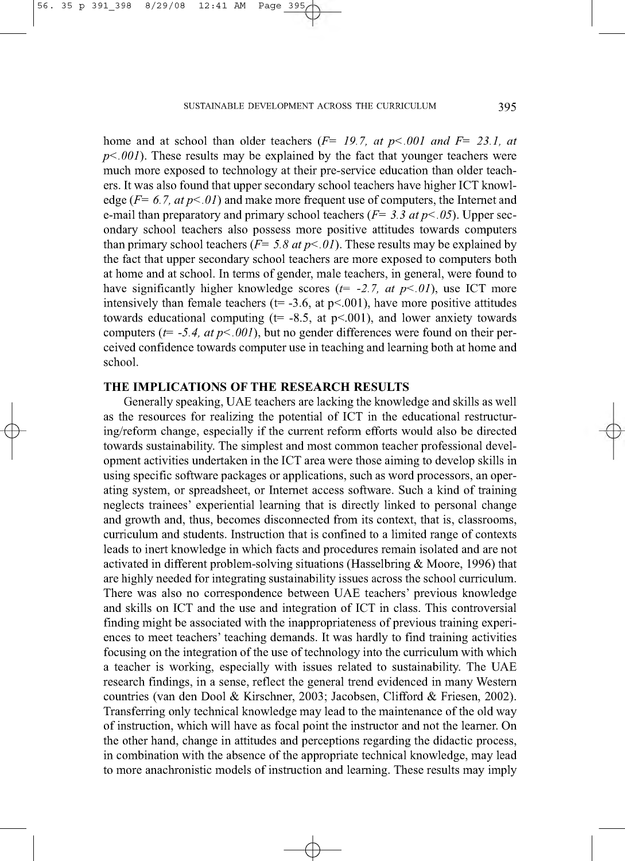#### SUSTAINABLE DEVELOPMENT ACROSS THE CURRICULUM **395**

56 .

35 p 391 398 8/29/08 12:41 AM Page 395

 $\phi$ 

home and at school than older teachers *(F= 19.7, at p<.001 and F= 23.1, at*  $p<.001$ ). These results may be explained by the fact that younger teachers were much more exposed to technology at their pre-service education than older teachers. It was also found that upper secondary school teachers have higher ICT knowledge (F= *6.7, atp<.01)* and make more frequent use of computers, the Internet and e-mail than preparatory and primary school teachers  $(F= 3.3 \text{ at } p < .05)$ . Upper secondary school teachers also possess more positive attitudes towards computers than primary school teachers  $(F= 5.8 \text{ at } p<0.01)$ . These results may be explained by the fact that upper secondary school teachers are more exposed to computers both at home and at school. In terms of gender, male teachers, in general, were found to have significantly higher knowledge scores *(t= -2.7, at p<.01),* use ICT more intensively than female teachers ( $t=$  -3.6, at  $p<$  001), have more positive attitudes towards educational computing ( $t= -8.5$ , at  $p<.001$ ), and lower anxiety towards computers  $(t= -5.4, at p<0.001)$ , but no gender differences were found on their perceived confidence towards computer use in teaching and learning both at home and school.

## **THE IMPLICATIONS OF THE RESEARCH RESULTS**

Generally speaking, UAE teachers are lacking the knowledge and skills as well as the resources for realizing the potential of ICT in the educational restructuring/reform change, especially if the current reform efforts would also be directed towards sustainability. The simplest and most common teacher professional development activities undertaken in the ICT area were those aiming to develop skills in using specific software packages or applications, such as word processors, an operating system, or spreadsheet, or Internet access software. Such a kind of training neglects trainees' experiential learning that is directly linked to personal change and growth and, thus, becomes disconnected from its context, that is, classrooms, curriculum and students. Instruction that is confined to a limited range of contexts leads to inert knowledge in which facts and procedures remain isolated and are not activated in different problem-solving situations (Hasselbring & Moore, 1996) that are highly needed for integrating sustainability issues across the school curriculum. There was also no correspondence between UAE teachers' previous knowledge and skills on ICT and the use and integration of ICT in class. This controversial finding might be associated with the inappropriateness of previous training experiences to meet teachers' teaching demands. It was hardly to find training activities focusing on the integration of the use of technology into the curriculum with which a teacher is working, especially with issues related to sustainability. The UAE research findings, in a sense, reflect the general trend evidenced in many Western countries (van den Dool & Kirschner, 2003; Jacobsen, Clifford & Friesen, 2002). Transferring only technical knowledge may lead to the maintenance of the old way of instruction, which will have as focal point the instructor and not the learner. On the other hand, change in attitudes and perceptions regarding the didactic process, in combination with the absence of the appropriate technical knowledge, may lead to more anachronistic models of instruction and learning. These results may imply

 $\downarrow$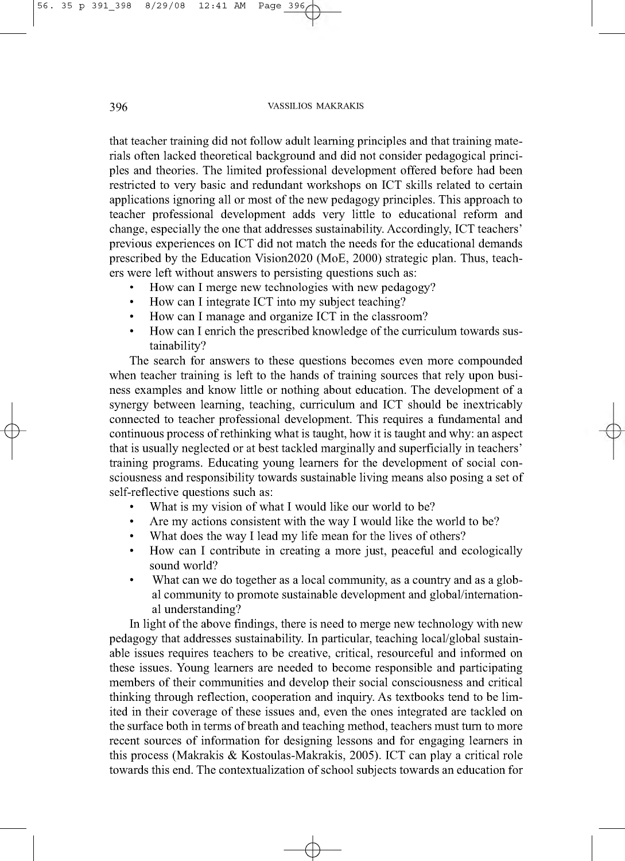that teacher training did not follow adult learning principles and that training materials often lacked theoretical background and did not consider pedagogical principles and theories. The limited professional development offered before had been restricted to very basic and redundant workshops on ICT skills related to certain applications ignoring all or most of the new pedagogy principles. This approach to teacher professional development adds very little to educational reform and change, especially the one that addresses sustainability. Accordingly, ICT teachers' previous experiences on ICT did not match the needs for the educational demands prescribed by the Education Vision2020 (MoE, 2000) strategic plan. Thus, teachers were left without answers to persisting questions such as:

- How can I merge new technologies with new pedagogy?
- How can I integrate ICT into my subject teaching?
- How can I manage and organize ICT in the classroom?
- How can I enrich the prescribed knowledge of the curriculum towards sustainability?

The search for answers to these questions becomes even more compounded when teacher training is left to the hands of training sources that rely upon business examples and know little or nothing about education. The development of a synergy between learning, teaching, curriculum and ICT should be inextricably connected to teacher professional development. This requires a fundamental and continuous process of rethinking what is taught, how it is taught and why: an aspect that is usually neglected or at best tackled marginally and superficially in teachers' training programs. Educating young learners for the development of social consciousness and responsibility towards sustainable living means also posing a set of self-reflective questions such as:

- What is my vision of what I would like our world to be?
- Are my actions consistent with the way I would like the world to be?
- What does the way I lead my life mean for the lives of others?
- How can I contribute in creating a more just, peaceful and ecologically sound world?
- What can we do together as a local community, as a country and as a global community to promote sustainable development and global/international understanding?

In light of the above findings, there is need to merge new technology with new pedagogy that addresses sustainability. In particular, teaching local/global sustainable issues requires teachers to be creative, critical, resourceful and informed on these issues. Young learners are needed to become responsible and participating members of their communities and develop their social consciousness and critical thinking through reflection, cooperation and inquiry. As textbooks tend to be limited in their coverage of these issues and, even the ones integrated are tackled on the surface both in terms of breath and teaching method, teachers must turn to more recent sources of information for designing lessons and for engaging learners in this process (Makrakis & Kostoulas-Makrakis, 2005). ICT can play a critical role towards this end. The contextualization of school subjects towards an education for

 $\downarrow$ 

 $\phi$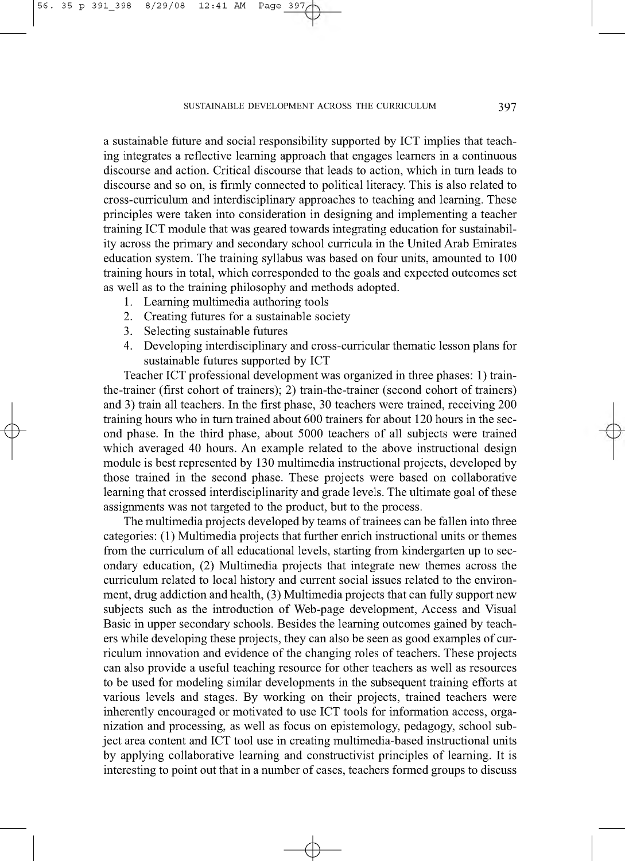#### SUSTAINABLE DEVELOPMENT ACROSS THE CURRICULUM **397**

a sustainable future and social responsibility supported by ICT implies that teaching integrates a reflective learning approach that engages learners in a continuous discourse and action. Critical discourse that leads to action, which in turn leads to discourse and so on, is firmly connected to political literacy. This is also related to cross-curriculum and interdisciplinary approaches to teaching and learning. These principles were taken into consideration in designing and implementing a teacher training ICT module that was geared towards integrating education for sustainability across the primary and secondary school curricula in the United Arab Emirates education system. The training syllabus was based on four units, amounted to 100 training hours in total, which corresponded to the goals and expected outcomes set as well as to the training philosophy and methods adopted.

- 1. Learning multimedia authoring tools
- 2. Creating futures for a sustainable society
- 3. Selecting sustainable futures

35 p 391 398 8/29/08 12:41 AM Page 397

56 .

 $\phi$ 

4. Developing interdisciplinary and cross-curricular thematic lesson plans for sustainable futures supported by ICT

Teacher ICT professional development was organized in three phases: 1) trainthe-trainer (first cohort of trainers); 2) train-the-trainer (second cohort of trainers) and 3) train all teachers. In the first phase, 30 teachers were trained, receiving 200 training hours who in turn trained about 600 trainers for about 120 hours in the second phase. In the third phase, about 5000 teachers of all subjects were trained which averaged 40 hours. An example related to the above instructional design module is best represented by 130 multimedia instructional projects, developed by those trained in the second phase. These projects were based on collaborative learning that crossed interdisciplinarity and grade levels. The ultimate goal of these assignments was not targeted to the product, but to the process.

The multimedia projects developed by teams of trainees can be fallen into three categories: (1) Multimedia projects that further enrich instructional units or themes from the curriculum of all educational levels, starting from kindergarten up to secondary education, (2) Multimedia projects that integrate new themes across the curriculum related to local history and current social issues related to the environment, drug addiction and health, (3) Multimedia projects that can fully support new subjects such as the introduction of Web-page development, Access and Visual Basic in upper secondary schools. Besides the learning outcomes gained by teachers while developing these projects, they can also be seen as good examples of curriculum innovation and evidence of the changing roles of teachers. These projects can also provide a useful teaching resource for other teachers as well as resources to be used for modeling similar developments in the subsequent training efforts at various levels and stages. By working on their projects, trained teachers were inherently encouraged or motivated to use ICT tools for information access, organization and processing, as well as focus on epistemology, pedagogy, school subject area content and ICT tool use in creating multimedia-based instructional units by applying collaborative learning and constructivist principles of learning. It is interesting to point out that in a number of cases, teachers formed groups to discuss

 $\downarrow$